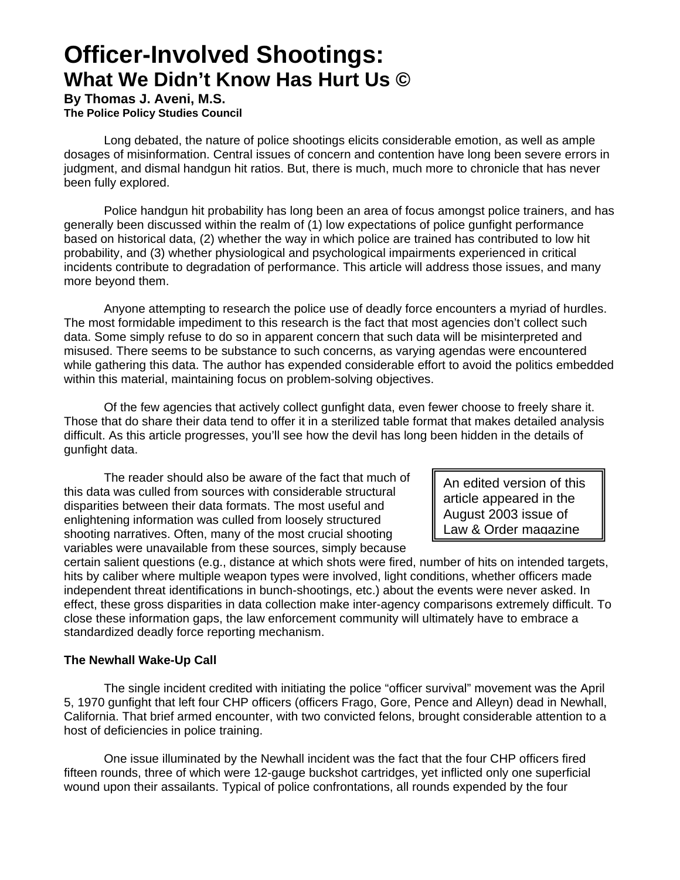# **Officer-Involved Shootings: What We Didn't Know Has Hurt Us ©**

**By Thomas J. Aveni, M.S. The Police Policy Studies Council** 

Long debated, the nature of police shootings elicits considerable emotion, as well as ample dosages of misinformation. Central issues of concern and contention have long been severe errors in judgment, and dismal handgun hit ratios. But, there is much, much more to chronicle that has never been fully explored.

Police handgun hit probability has long been an area of focus amongst police trainers, and has generally been discussed within the realm of (1) low expectations of police gunfight performance based on historical data, (2) whether the way in which police are trained has contributed to low hit probability, and (3) whether physiological and psychological impairments experienced in critical incidents contribute to degradation of performance. This article will address those issues, and many more beyond them.

Anyone attempting to research the police use of deadly force encounters a myriad of hurdles. The most formidable impediment to this research is the fact that most agencies don't collect such data. Some simply refuse to do so in apparent concern that such data will be misinterpreted and misused. There seems to be substance to such concerns, as varying agendas were encountered while gathering this data. The author has expended considerable effort to avoid the politics embedded within this material, maintaining focus on problem-solving objectives.

Of the few agencies that actively collect gunfight data, even fewer choose to freely share it. Those that do share their data tend to offer it in a sterilized table format that makes detailed analysis difficult. As this article progresses, you'll see how the devil has long been hidden in the details of gunfight data.

The reader should also be aware of the fact that much of this data was culled from sources with considerable structural disparities between their data formats. The most useful and enlightening information was culled from loosely structured shooting narratives. Often, many of the most crucial shooting variables were unavailable from these sources, simply because

An edited version of this article appeared in the August 2003 issue of Law & Order magazine

certain salient questions (e.g., distance at which shots were fired, number of hits on intended targets, hits by caliber where multiple weapon types were involved, light conditions, whether officers made independent threat identifications in bunch-shootings, etc.) about the events were never asked. In effect, these gross disparities in data collection make inter-agency comparisons extremely difficult. To close these information gaps, the law enforcement community will ultimately have to embrace a standardized deadly force reporting mechanism.

# **The Newhall Wake-Up Call**

The single incident credited with initiating the police "officer survival" movement was the April 5, 1970 gunfight that left four CHP officers (officers Frago, Gore, Pence and Alleyn) dead in Newhall, California. That brief armed encounter, with two convicted felons, brought considerable attention to a host of deficiencies in police training.

One issue illuminated by the Newhall incident was the fact that the four CHP officers fired fifteen rounds, three of which were 12-gauge buckshot cartridges, yet inflicted only one superficial wound upon their assailants. Typical of police confrontations, all rounds expended by the four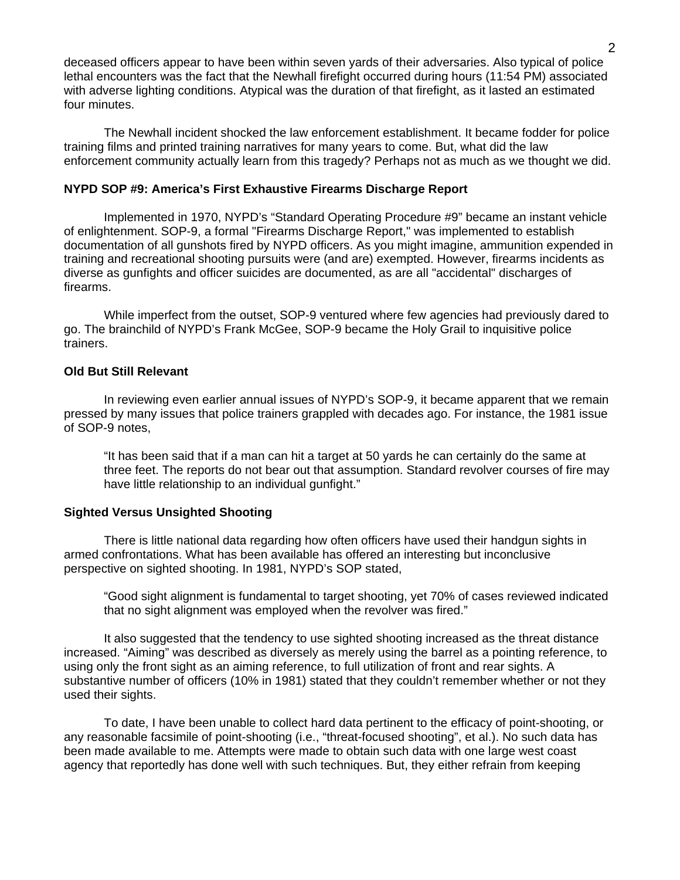deceased officers appear to have been within seven yards of their adversaries. Also typical of police lethal encounters was the fact that the Newhall firefight occurred during hours (11:54 PM) associated with adverse lighting conditions. Atypical was the duration of that firefight, as it lasted an estimated four minutes.

The Newhall incident shocked the law enforcement establishment. It became fodder for police training films and printed training narratives for many years to come. But, what did the law enforcement community actually learn from this tragedy? Perhaps not as much as we thought we did.

### **NYPD SOP #9: America's First Exhaustive Firearms Discharge Report**

Implemented in 1970, NYPD's "Standard Operating Procedure #9" became an instant vehicle of enlightenment. SOP-9, a formal "Firearms Discharge Report," was implemented to establish documentation of all gunshots fired by NYPD officers. As you might imagine, ammunition expended in training and recreational shooting pursuits were (and are) exempted. However, firearms incidents as diverse as gunfights and officer suicides are documented, as are all "accidental" discharges of firearms.

While imperfect from the outset, SOP-9 ventured where few agencies had previously dared to go. The brainchild of NYPD's Frank McGee, SOP-9 became the Holy Grail to inquisitive police trainers.

#### **Old But Still Relevant**

In reviewing even earlier annual issues of NYPD's SOP-9, it became apparent that we remain pressed by many issues that police trainers grappled with decades ago. For instance, the 1981 issue of SOP-9 notes,

"It has been said that if a man can hit a target at 50 yards he can certainly do the same at three feet. The reports do not bear out that assumption. Standard revolver courses of fire may have little relationship to an individual gunfight."

# **Sighted Versus Unsighted Shooting**

There is little national data regarding how often officers have used their handgun sights in armed confrontations. What has been available has offered an interesting but inconclusive perspective on sighted shooting. In 1981, NYPD's SOP stated,

"Good sight alignment is fundamental to target shooting, yet 70% of cases reviewed indicated that no sight alignment was employed when the revolver was fired."

It also suggested that the tendency to use sighted shooting increased as the threat distance increased. "Aiming" was described as diversely as merely using the barrel as a pointing reference, to using only the front sight as an aiming reference, to full utilization of front and rear sights. A substantive number of officers (10% in 1981) stated that they couldn't remember whether or not they used their sights.

To date, I have been unable to collect hard data pertinent to the efficacy of point-shooting, or any reasonable facsimile of point-shooting (i.e., "threat-focused shooting", et al.). No such data has been made available to me. Attempts were made to obtain such data with one large west coast agency that reportedly has done well with such techniques. But, they either refrain from keeping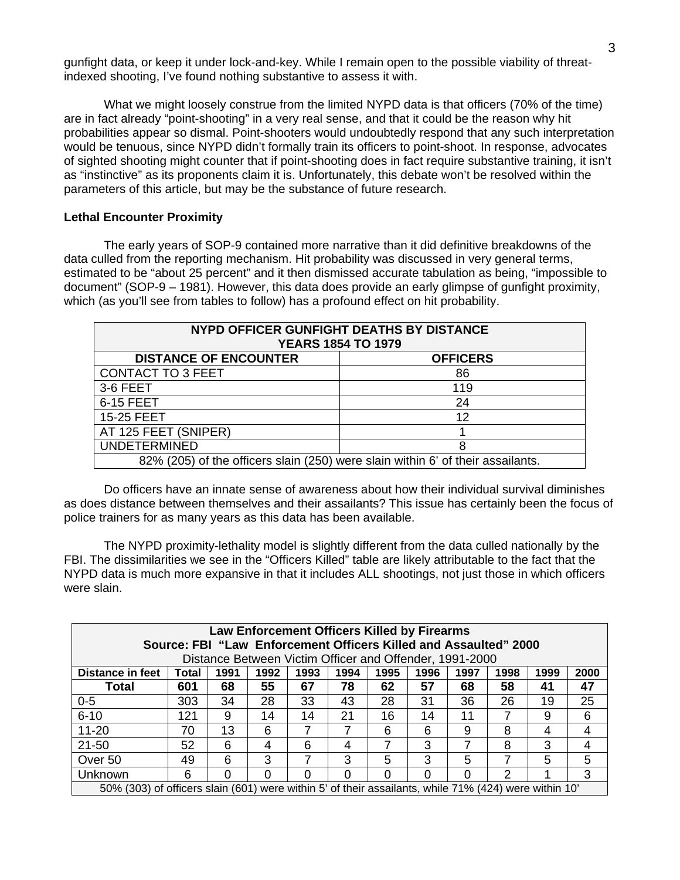gunfight data, or keep it under lock-and-key. While I remain open to the possible viability of threatindexed shooting, I've found nothing substantive to assess it with.

What we might loosely construe from the limited NYPD data is that officers (70% of the time) are in fact already "point-shooting" in a very real sense, and that it could be the reason why hit probabilities appear so dismal. Point-shooters would undoubtedly respond that any such interpretation would be tenuous, since NYPD didn't formally train its officers to point-shoot. In response, advocates of sighted shooting might counter that if point-shooting does in fact require substantive training, it isn't as "instinctive" as its proponents claim it is. Unfortunately, this debate won't be resolved within the parameters of this article, but may be the substance of future research.

#### **Lethal Encounter Proximity**

The early years of SOP-9 contained more narrative than it did definitive breakdowns of the data culled from the reporting mechanism. Hit probability was discussed in very general terms, estimated to be "about 25 percent" and it then dismissed accurate tabulation as being, "impossible to document" (SOP-9 – 1981). However, this data does provide an early glimpse of gunfight proximity, which (as you'll see from tables to follow) has a profound effect on hit probability.

| NYPD OFFICER GUNFIGHT DEATHS BY DISTANCE<br><b>YEARS 1854 TO 1979</b> |                                                                                 |  |  |  |  |
|-----------------------------------------------------------------------|---------------------------------------------------------------------------------|--|--|--|--|
| <b>DISTANCE OF ENCOUNTER</b>                                          | <b>OFFICERS</b>                                                                 |  |  |  |  |
| <b>CONTACT TO 3 FEET</b>                                              | 86                                                                              |  |  |  |  |
| 3-6 FEET                                                              | 119                                                                             |  |  |  |  |
| 6-15 FEET                                                             | 24                                                                              |  |  |  |  |
| 15-25 FEET                                                            | 12                                                                              |  |  |  |  |
| AT 125 FEET (SNIPER)                                                  |                                                                                 |  |  |  |  |
| <b>UNDETERMINED</b><br>8                                              |                                                                                 |  |  |  |  |
|                                                                       | 82% (205) of the officers slain (250) were slain within 6' of their assailants. |  |  |  |  |

Do officers have an innate sense of awareness about how their individual survival diminishes as does distance between themselves and their assailants? This issue has certainly been the focus of police trainers for as many years as this data has been available.

The NYPD proximity-lethality model is slightly different from the data culled nationally by the FBI. The dissimilarities we see in the "Officers Killed" table are likely attributable to the fact that the NYPD data is much more expansive in that it includes ALL shootings, not just those in which officers were slain.

| Law Enforcement Officers Killed by Firearms<br>Source: FBI "Law Enforcement Officers Killed and Assaulted" 2000<br>Distance Between Victim Officer and Offender, 1991-2000 |     |    |    |    |    |    |    |    |    |    |    |
|----------------------------------------------------------------------------------------------------------------------------------------------------------------------------|-----|----|----|----|----|----|----|----|----|----|----|
| <b>Distance in feet</b><br>1991<br>1999<br>1992<br>1993<br>1994<br>1995<br>1996<br>1997<br>1998<br>2000<br>Total                                                           |     |    |    |    |    |    |    |    |    |    |    |
| <b>Total</b>                                                                                                                                                               | 601 | 68 | 55 | 67 | 78 | 62 | 57 | 68 | 58 | 41 | 47 |
| $0 - 5$                                                                                                                                                                    | 303 | 34 | 28 | 33 | 43 | 28 | 31 | 36 | 26 | 19 | 25 |
| $6 - 10$                                                                                                                                                                   | 121 | 9  | 14 | 14 | 21 | 16 | 14 | 11 |    | 9  | 6  |
| $11 - 20$                                                                                                                                                                  | 70  | 13 | 6  |    |    | 6  | 6  | 9  | 8  | 4  | 4  |
| $21 - 50$                                                                                                                                                                  | 52  | 6  | 4  | 6  | 4  |    | 3  |    | 8  | 3  | 4  |
| Over 50                                                                                                                                                                    | 49  | 6  | 3  |    | 3  | 5  | 3  | 5  |    | 5  | 5  |
| Unknown                                                                                                                                                                    | 6   | 0  | O  |    |    | ი  | 0  | O  | າ  |    | 3  |
| 50% (303) of officers slain (601) were within 5' of their assailants, while 71% (424) were within 10'                                                                      |     |    |    |    |    |    |    |    |    |    |    |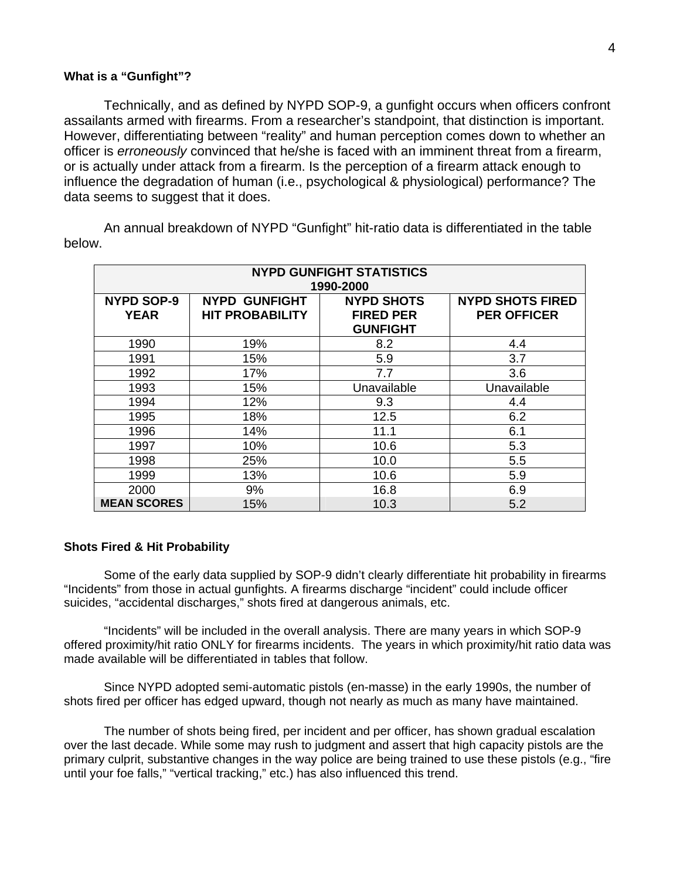#### **What is a "Gunfight"?**

Technically, and as defined by NYPD SOP-9, a gunfight occurs when officers confront assailants armed with firearms. From a researcher's standpoint, that distinction is important. However, differentiating between "reality" and human perception comes down to whether an officer is *erroneously* convinced that he/she is faced with an imminent threat from a firearm, or is actually under attack from a firearm. Is the perception of a firearm attack enough to influence the degradation of human (i.e., psychological & physiological) performance? The data seems to suggest that it does.

**NYPD GUNFIGHT STATISTICS 1990-2000 NYPD SOP-9 YEAR NYPD GUNFIGHT HIT PROBABILITY NYPD SHOTS FIRED PER GUNFIGHT NYPD SHOTS FIRED PER OFFICER** 1990 19% 8.2 4.4 1991 15% 5.9 3.7 1992 17% 7.7 3.6 1993 15% Unavailable Unavailable 1994 12% 9.3 4.4 1995 18% 12.5 6.2 1996 14% 11.1 6.1 1997 10% 10.6 5.3 1998 25% 10.0 5.5 1999 13% 10.6 5.9 2000 9% 16.8 6.9 **MEAN SCORES** 15% 10.3 5.2

An annual breakdown of NYPD "Gunfight" hit-ratio data is differentiated in the table below.

# **Shots Fired & Hit Probability**

Some of the early data supplied by SOP-9 didn't clearly differentiate hit probability in firearms "Incidents" from those in actual gunfights. A firearms discharge "incident" could include officer suicides, "accidental discharges," shots fired at dangerous animals, etc.

"Incidents" will be included in the overall analysis. There are many years in which SOP-9 offered proximity/hit ratio ONLY for firearms incidents. The years in which proximity/hit ratio data was made available will be differentiated in tables that follow.

Since NYPD adopted semi-automatic pistols (en-masse) in the early 1990s, the number of shots fired per officer has edged upward, though not nearly as much as many have maintained.

The number of shots being fired, per incident and per officer, has shown gradual escalation over the last decade. While some may rush to judgment and assert that high capacity pistols are the primary culprit, substantive changes in the way police are being trained to use these pistols (e.g., "fire until your foe falls," "vertical tracking," etc.) has also influenced this trend.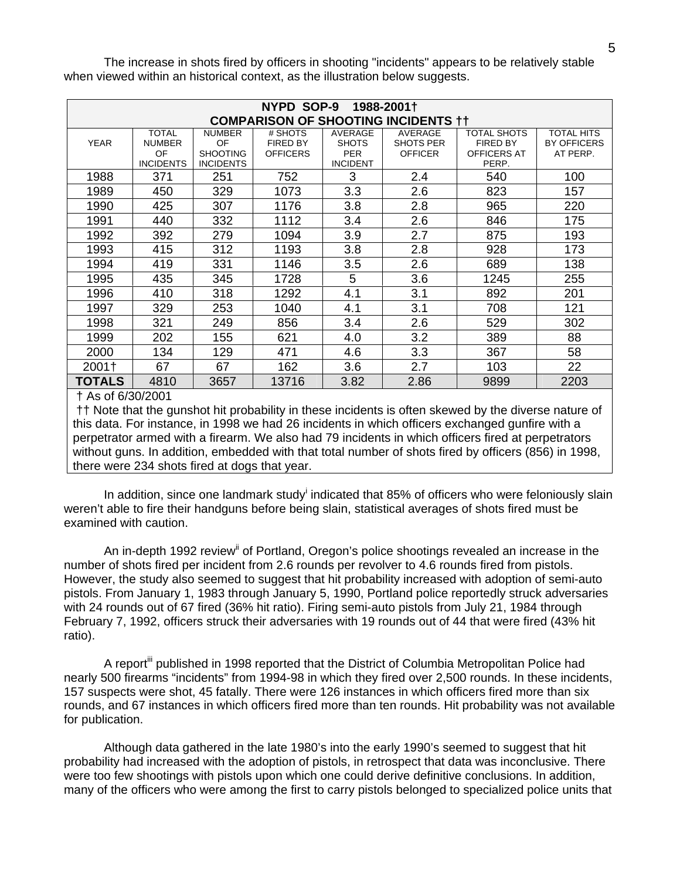| NYPD SOP-9<br>1988-2001†                   |                                                                                                                  |                  |                 |                 |                  |                 |                    |  |  |  |
|--------------------------------------------|------------------------------------------------------------------------------------------------------------------|------------------|-----------------|-----------------|------------------|-----------------|--------------------|--|--|--|
| <b>COMPARISON OF SHOOTING INCIDENTS ††</b> |                                                                                                                  |                  |                 |                 |                  |                 |                    |  |  |  |
|                                            | <b>TOTAL</b><br># SHOTS<br><b>AVERAGE</b><br><b>AVERAGE</b><br><b>TOTAL HITS</b><br><b>NUMBER</b><br>TOTAL SHOTS |                  |                 |                 |                  |                 |                    |  |  |  |
| <b>YEAR</b>                                | <b>NUMBER</b>                                                                                                    | OF               | <b>FIRED BY</b> | <b>SHOTS</b>    | <b>SHOTS PER</b> | <b>FIRED BY</b> | <b>BY OFFICERS</b> |  |  |  |
|                                            | OF                                                                                                               | <b>SHOOTING</b>  | <b>OFFICERS</b> | <b>PER</b>      | <b>OFFICER</b>   | OFFICERS AT     | AT PERP.           |  |  |  |
|                                            | <b>INCIDENTS</b>                                                                                                 | <b>INCIDENTS</b> |                 | <b>INCIDENT</b> |                  | PERP.           |                    |  |  |  |
| 1988                                       | 371                                                                                                              | 251              | 752             | 3               | 2.4              | 540             | 100                |  |  |  |
| 1989                                       | 450                                                                                                              | 329              | 1073            | 3.3             | 2.6              | 823             | 157                |  |  |  |
| 1990                                       | 425                                                                                                              | 307              | 1176            | 3.8             | 2.8              | 965             | 220                |  |  |  |
| 1991                                       | 440                                                                                                              | 332              | 1112            | 3.4             | 2.6              | 846             | 175                |  |  |  |
| 1992                                       | 392                                                                                                              | 279              | 1094            | 3.9             | 2.7              | 875             | 193                |  |  |  |
| 1993                                       | 415                                                                                                              | 312              | 1193            | 3.8             | 2.8              | 928             | 173                |  |  |  |
| 1994                                       | 419                                                                                                              | 331              | 1146            | 3.5             | 2.6              | 689             | 138                |  |  |  |
| 1995                                       | 435                                                                                                              | 345              | 1728            | 5               | 3.6              | 1245            | 255                |  |  |  |
| 1996                                       | 410                                                                                                              | 318              | 1292            | 4.1             | 3.1              | 892             | 201                |  |  |  |
| 1997                                       | 329                                                                                                              | 253              | 1040            | 4.1             | 3.1              | 708             | 121                |  |  |  |
| 1998                                       | 321                                                                                                              | 249              | 856             | 3.4             | 2.6              | 529             | 302                |  |  |  |
| 1999                                       | 202                                                                                                              | 155              | 621             | 4.0             | 3.2              | 389             | 88                 |  |  |  |
| 2000                                       | 134                                                                                                              | 129              | 471             | 4.6             | 3.3              | 367             | 58                 |  |  |  |
| 2001†                                      | 67                                                                                                               | 67               | 162             | 3.6             | 2.7              | 103             | 22                 |  |  |  |
| TOTALS                                     | 4810                                                                                                             | 3657             | 13716           | 3.82            | 2.86             | 9899            | 2203               |  |  |  |

The increase in shots fired by officers in shooting "incidents" appears to be relatively stable when viewed within an historical context, as the illustration below suggests.

† As of 6/30/2001

 †† Note that the gunshot hit probability in these incidents is often skewed by the diverse nature of this data. For instance, in 1998 we had 26 incidents in which officers exchanged gunfire with a perpetrator armed with a firearm. We also had 79 incidents in which officers fired at perpetrators without guns. In addition, embedded with that total number of shots fired by officers (856) in 1998, there were 234 shots fired at dogs that year.

Inaddition, since one landmark study<sup>i</sup> indicated that 85% of officers who were feloniously slain weren't able to fire their handguns before being slain, statistical averages of shots fired must be examined with caution.

An in-depth 1992 review<sup>[ii](#page-17-1)</sup> of Portland, Oregon's police shootings revealed an increase in the number of shots fired per incident from 2.6 rounds per revolver to 4.6 rounds fired from pistols. However, the study also seemed to suggest that hit probability increased with adoption of semi-auto pistols. From January 1, 1983 through January 5, 1990, Portland police reportedly struck adversaries with 24 rounds out of 67 fired (36% hit ratio). Firing semi-auto pistols from July 21, 1984 through February 7, 1992, officers struck their adversaries with 19 rounds out of 44 that were fired (43% hit ratio).

A report<sup>iii</sup> published in 1998 reported that the District of Columbia Metropolitan Police had nearly 500 firearms "incidents" from 1994-98 in which they fired over 2,500 rounds. In these incidents, 157 suspects were shot, 45 fatally. There were 126 instances in which officers fired more than six rounds, and 67 instances in which officers fired more than ten rounds. Hit probability was not available for publication.

Although data gathered in the late 1980's into the early 1990's seemed to suggest that hit probability had increased with the adoption of pistols, in retrospect that data was inconclusive. There were too few shootings with pistols upon which one could derive definitive conclusions. In addition, many of the officers who were among the first to carry pistols belonged to specialized police units that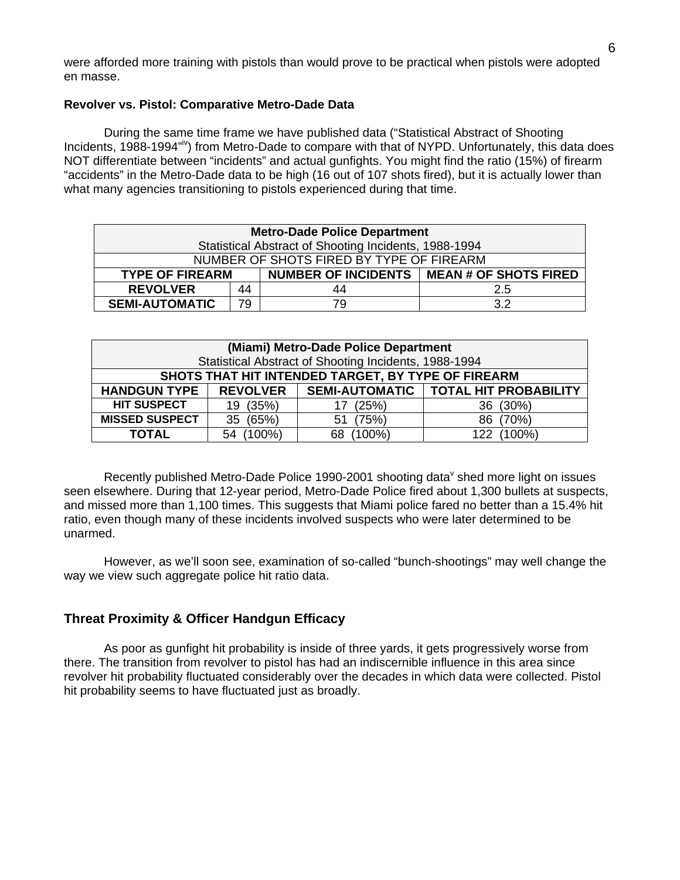were afforded more training with pistols than would prove to be practical when pistols were adopted en masse.

# **Revolver vs. Pistol: Comparative Metro-Dade Data**

During the same time frame we have published data ("Statistical Abstract of Shooting Incidents, 1988-1994"<sup>iv</sup>) from Metro-Dade to compare with that of NYPD. Unfortunately, this data does NOT differentiate between "incidents" and actual gunfights. You might find the ratio (15%) of firearm "accidents" in the Metro-Dade data to be high (16 out of 107 shots fired), but it is actually lower than what many agencies transitioning to pistols experienced during that time.

| <b>Metro-Dade Police Department</b>                                   |     |     |     |  |  |  |  |
|-----------------------------------------------------------------------|-----|-----|-----|--|--|--|--|
| Statistical Abstract of Shooting Incidents, 1988-1994                 |     |     |     |  |  |  |  |
| NUMBER OF SHOTS FIRED BY TYPE OF FIREARM                              |     |     |     |  |  |  |  |
| NUMBER OF INCIDENTS   MEAN # OF SHOTS FIRED<br><b>TYPE OF FIREARM</b> |     |     |     |  |  |  |  |
| <b>REVOLVER</b>                                                       | 2.5 |     |     |  |  |  |  |
| <b>SEMI-AUTOMATIC</b>                                                 | 79  | 79. | 3.2 |  |  |  |  |

| (Miami) Metro-Dade Police Department                  |                 |           |                                        |  |  |  |  |  |  |
|-------------------------------------------------------|-----------------|-----------|----------------------------------------|--|--|--|--|--|--|
| Statistical Abstract of Shooting Incidents, 1988-1994 |                 |           |                                        |  |  |  |  |  |  |
| SHOTS THAT HIT INTENDED TARGET, BY TYPE OF FIREARM    |                 |           |                                        |  |  |  |  |  |  |
| <b>HANDGUN TYPE</b>                                   | <b>REVOLVER</b> |           | SEMI-AUTOMATIC   TOTAL HIT PROBABILITY |  |  |  |  |  |  |
| <b>HIT SUSPECT</b>                                    | 19 (35%)        | (25%)     | 36 (30%)                               |  |  |  |  |  |  |
| <b>MISSED SUSPECT</b>                                 | (65%)<br>35     | (75%)     | (70%)                                  |  |  |  |  |  |  |
| TOTAL                                                 | $(100\%)$<br>54 | $(100\%)$ | $(100\%)$<br>122                       |  |  |  |  |  |  |

Recently published Metro-Dade Police 1990-2001 [s](#page-17-4)hooting data<sup>v</sup> shed more light on issues seen elsewhere. During that 12-year period, Metro-Dade Police fired about 1,300 bullets at suspects, and missed more than 1,100 times. This suggests that Miami police fared no better than a 15.4% hit ratio, even though many of these incidents involved suspects who were later determined to be unarmed.

However, as we'll soon see, examination of so-called "bunch-shootings" may well change the way we view such aggregate police hit ratio data.

# **Threat Proximity & Officer Handgun Efficacy**

As poor as gunfight hit probability is inside of three yards, it gets progressively worse from there. The transition from revolver to pistol has had an indiscernible influence in this area since revolver hit probability fluctuated considerably over the decades in which data were collected. Pistol hit probability seems to have fluctuated just as broadly.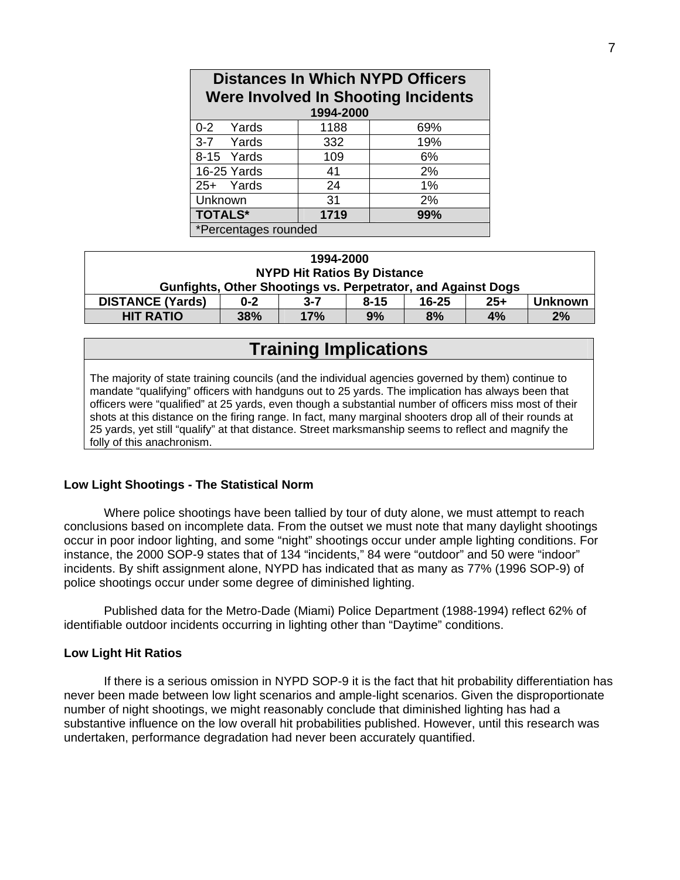| <b>Distances In Which NYPD Officers</b><br>Were Involved In Shooting Incidents<br>1994-2000 |     |     |  |  |  |  |  |  |
|---------------------------------------------------------------------------------------------|-----|-----|--|--|--|--|--|--|
| 0-2 Yards<br>1188<br>69%                                                                    |     |     |  |  |  |  |  |  |
| 3-7 Yards                                                                                   | 332 | 19% |  |  |  |  |  |  |
| 8-15 Yards                                                                                  | 109 | 6%  |  |  |  |  |  |  |
| 16-25 Yards                                                                                 | 41  | 2%  |  |  |  |  |  |  |
| 25+ Yards                                                                                   | 24  | 1%  |  |  |  |  |  |  |
| Unknown                                                                                     | 31  | 2%  |  |  |  |  |  |  |
| <b>TOTALS*</b><br>1719<br>99%                                                               |     |     |  |  |  |  |  |  |
| *Percentages rounded                                                                        |     |     |  |  |  |  |  |  |

| 1994-2000                                                                                         |                                    |     |    |    |    |    |  |
|---------------------------------------------------------------------------------------------------|------------------------------------|-----|----|----|----|----|--|
|                                                                                                   | <b>NYPD Hit Ratios By Distance</b> |     |    |    |    |    |  |
| Gunfights, Other Shootings vs. Perpetrator, and Against Dogs                                      |                                    |     |    |    |    |    |  |
| $25+$<br><b>DISTANCE (Yards)</b><br>$16 - 25$<br><b>Unknown</b><br>$3 - 7$<br>$0 - 2$<br>$8 - 15$ |                                    |     |    |    |    |    |  |
| <b>HIT RATIO</b>                                                                                  | 38%                                | 17% | 9% | 8% | 4% | 2% |  |

# **Training Implications**

The majority of state training councils (and the individual agencies governed by them) continue to mandate "qualifying" officers with handguns out to 25 yards. The implication has always been that officers were "qualified" at 25 yards, even though a substantial number of officers miss most of their shots at this distance on the firing range. In fact, many marginal shooters drop all of their rounds at 25 yards, yet still "qualify" at that distance. Street marksmanship seems to reflect and magnify the folly of this anachronism.

# **Low Light Shootings - The Statistical Norm**

Where police shootings have been tallied by tour of duty alone, we must attempt to reach conclusions based on incomplete data. From the outset we must note that many daylight shootings occur in poor indoor lighting, and some "night" shootings occur under ample lighting conditions. For instance, the 2000 SOP-9 states that of 134 "incidents," 84 were "outdoor" and 50 were "indoor" incidents. By shift assignment alone, NYPD has indicated that as many as 77% (1996 SOP-9) of police shootings occur under some degree of diminished lighting.

Published data for the Metro-Dade (Miami) Police Department (1988-1994) reflect 62% of identifiable outdoor incidents occurring in lighting other than "Daytime" conditions.

# **Low Light Hit Ratios**

If there is a serious omission in NYPD SOP-9 it is the fact that hit probability differentiation has never been made between low light scenarios and ample-light scenarios. Given the disproportionate number of night shootings, we might reasonably conclude that diminished lighting has had a substantive influence on the low overall hit probabilities published. However, until this research was undertaken, performance degradation had never been accurately quantified.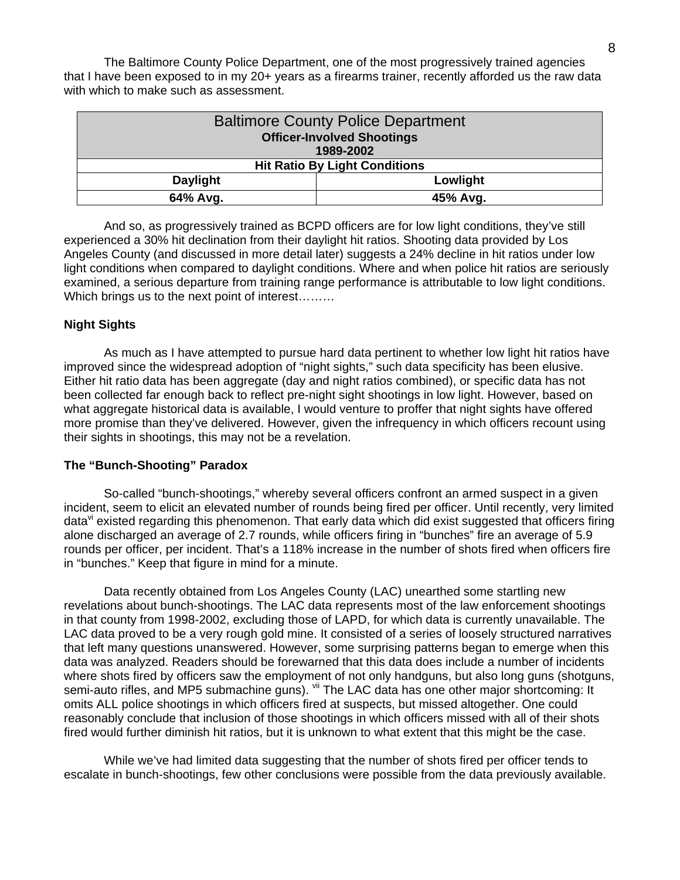The Baltimore County Police Department, one of the most progressively trained agencies that I have been exposed to in my 20+ years as a firearms trainer, recently afforded us the raw data with which to make such as assessment.

| <b>Baltimore County Police Department</b> |                                      |  |  |  |  |
|-------------------------------------------|--------------------------------------|--|--|--|--|
| <b>Officer-Involved Shootings</b>         |                                      |  |  |  |  |
|                                           | 1989-2002                            |  |  |  |  |
|                                           | <b>Hit Ratio By Light Conditions</b> |  |  |  |  |
| <b>Daylight</b><br>Lowlight               |                                      |  |  |  |  |
| 64% Avg.                                  | 45% Avg.                             |  |  |  |  |

And so, as progressively trained as BCPD officers are for low light conditions, they've still experienced a 30% hit declination from their daylight hit ratios. Shooting data provided by Los Angeles County (and discussed in more detail later) suggests a 24% decline in hit ratios under low light conditions when compared to daylight conditions. Where and when police hit ratios are seriously examined, a serious departure from training range performance is attributable to low light conditions. Which brings us to the next point of interest………

# **Night Sights**

 As much as I have attempted to pursue hard data pertinent to whether low light hit ratios have improved since the widespread adoption of "night sights," such data specificity has been elusive. Either hit ratio data has been aggregate (day and night ratios combined), or specific data has not been collected far enough back to reflect pre-night sight shootings in low light. However, based on what aggregate historical data is available, I would venture to proffer that night sights have offered more promise than they've delivered. However, given the infrequency in which officers recount using their sights in shootings, this may not be a revelation.

# **The "Bunch-Shooting" Paradox**

So-called "bunch-shootings," whereby several officers confront an armed suspect in a given incident, seem to elicit an elevated number of rounds being fired per officer. Until recently, very limited data<sup>vi</sup> existed regarding this phenomenon. That early data which did exist suggested that officers firing alone discharged an average of 2.7 rounds, while officers firing in "bunches" fire an average of 5.9 rounds per officer, per incident. That's a 118% increase in the number of shots fired when officers fire in "bunches." Keep that figure in mind for a minute.

Data recently obtained from Los Angeles County (LAC) unearthed some startling new revelations about bunch-shootings. The LAC data represents most of the law enforcement shootings in that county from 1998-2002, excluding those of LAPD, for which data is currently unavailable. The LAC data proved to be a very rough gold mine. It consisted of a series of loosely structured narratives that left many questions unanswered. However, some surprising patterns began to emerge when this data was analyzed. Readers should be forewarned that this data does include a number of incidents where shots fired by officers saw the employment of not only handguns, but also long guns (shotguns, semi-auto rifles, and MP5 submachine guns). Vii The LAC data has one other major shortcoming: It omits ALL police shootings in which officers fired at suspects, but missed altogether. One could reasonably conclude that inclusion of those shootings in which officers missed with all of their shots fired would further diminish hit ratios, but it is unknown to what extent that this might be the case.

While we've had limited data suggesting that the number of shots fired per officer tends to escalate in bunch-shootings, few other conclusions were possible from the data previously available.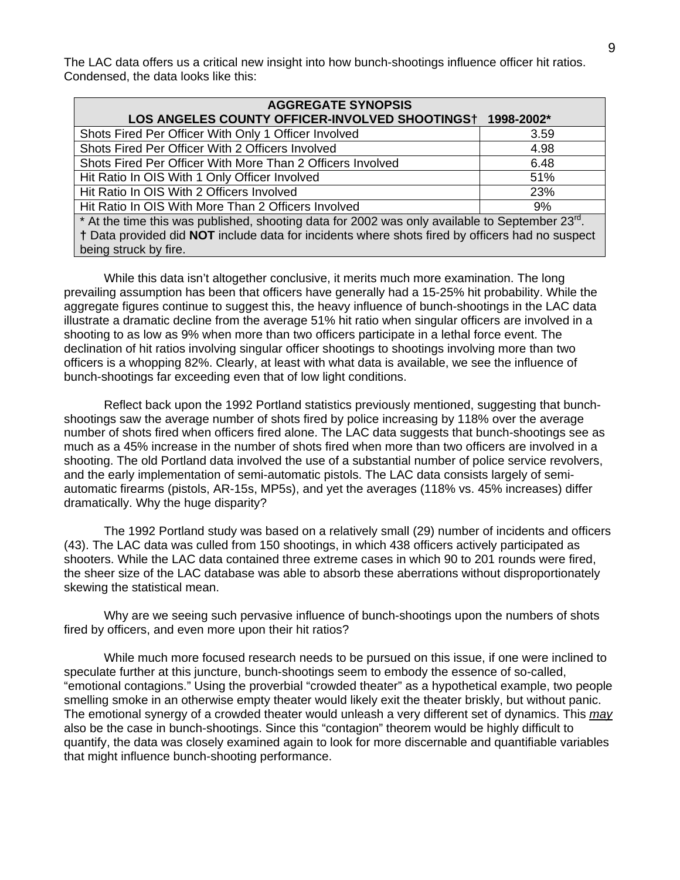The LAC data offers us a critical new insight into how bunch-shootings influence officer hit ratios. Condensed, the data looks like this:

| <b>AGGREGATE SYNOPSIS</b>                                                                                   |            |
|-------------------------------------------------------------------------------------------------------------|------------|
| LOS ANGELES COUNTY OFFICER-INVOLVED SHOOTINGS†                                                              | 1998-2002* |
| Shots Fired Per Officer With Only 1 Officer Involved                                                        | 3.59       |
| Shots Fired Per Officer With 2 Officers Involved                                                            | 4.98       |
| Shots Fired Per Officer With More Than 2 Officers Involved                                                  | 6.48       |
| Hit Ratio In OIS With 1 Only Officer Involved                                                               | 51%        |
| Hit Ratio In OIS With 2 Officers Involved                                                                   | 23%        |
| Hit Ratio In OIS With More Than 2 Officers Involved                                                         | 9%         |
| * At the time this was published, shooting data for 2002 was only available to September 23 <sup>rd</sup> . |            |
| † Data provided did NOT include data for incidents where shots fired by officers had no suspect             |            |

being struck by fire.

While this data isn't altogether conclusive, it merits much more examination. The long prevailing assumption has been that officers have generally had a 15-25% hit probability. While the aggregate figures continue to suggest this, the heavy influence of bunch-shootings in the LAC data illustrate a dramatic decline from the average 51% hit ratio when singular officers are involved in a shooting to as low as 9% when more than two officers participate in a lethal force event. The declination of hit ratios involving singular officer shootings to shootings involving more than two officers is a whopping 82%. Clearly, at least with what data is available, we see the influence of bunch-shootings far exceeding even that of low light conditions.

Reflect back upon the 1992 Portland statistics previously mentioned, suggesting that bunchshootings saw the average number of shots fired by police increasing by 118% over the average number of shots fired when officers fired alone. The LAC data suggests that bunch-shootings see as much as a 45% increase in the number of shots fired when more than two officers are involved in a shooting. The old Portland data involved the use of a substantial number of police service revolvers, and the early implementation of semi-automatic pistols. The LAC data consists largely of semiautomatic firearms (pistols, AR-15s, MP5s), and yet the averages (118% vs. 45% increases) differ dramatically. Why the huge disparity?

The 1992 Portland study was based on a relatively small (29) number of incidents and officers (43). The LAC data was culled from 150 shootings, in which 438 officers actively participated as shooters. While the LAC data contained three extreme cases in which 90 to 201 rounds were fired, the sheer size of the LAC database was able to absorb these aberrations without disproportionately skewing the statistical mean.

Why are we seeing such pervasive influence of bunch-shootings upon the numbers of shots fired by officers, and even more upon their hit ratios?

While much more focused research needs to be pursued on this issue, if one were inclined to speculate further at this juncture, bunch-shootings seem to embody the essence of so-called, "emotional contagions." Using the proverbial "crowded theater" as a hypothetical example, two people smelling smoke in an otherwise empty theater would likely exit the theater briskly, but without panic. The emotional synergy of a crowded theater would unleash a very different set of dynamics. This *may* also be the case in bunch-shootings. Since this "contagion" theorem would be highly difficult to quantify, the data was closely examined again to look for more discernable and quantifiable variables that might influence bunch-shooting performance.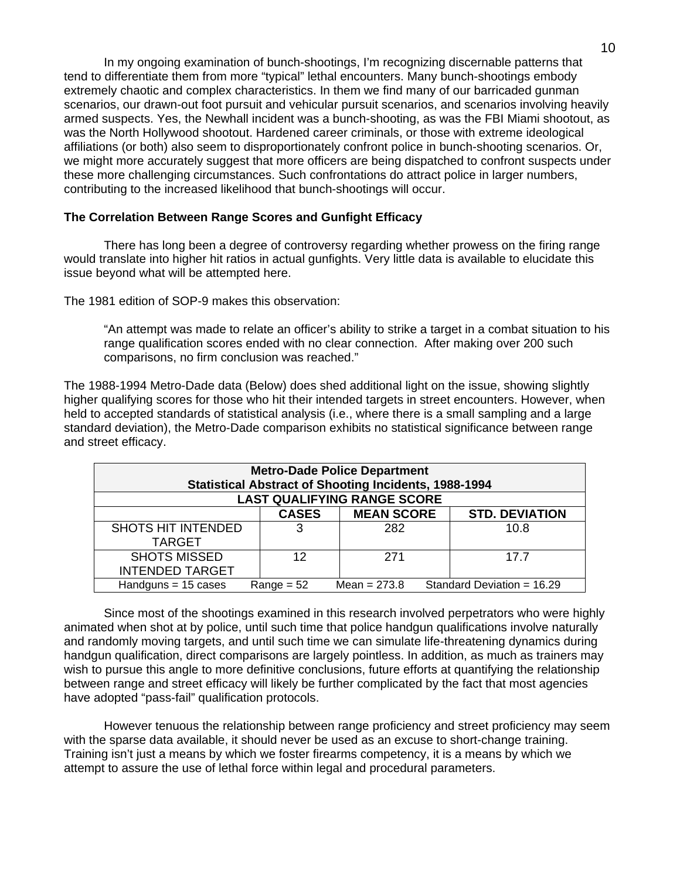In my ongoing examination of bunch-shootings, I'm recognizing discernable patterns that tend to differentiate them from more "typical" lethal encounters. Many bunch-shootings embody extremely chaotic and complex characteristics. In them we find many of our barricaded gunman scenarios, our drawn-out foot pursuit and vehicular pursuit scenarios, and scenarios involving heavily armed suspects. Yes, the Newhall incident was a bunch-shooting, as was the FBI Miami shootout, as was the North Hollywood shootout. Hardened career criminals, or those with extreme ideological affiliations (or both) also seem to disproportionately confront police in bunch-shooting scenarios. Or, we might more accurately suggest that more officers are being dispatched to confront suspects under these more challenging circumstances. Such confrontations do attract police in larger numbers, contributing to the increased likelihood that bunch-shootings will occur.

# **The Correlation Between Range Scores and Gunfight Efficacy**

There has long been a degree of controversy regarding whether prowess on the firing range would translate into higher hit ratios in actual gunfights. Very little data is available to elucidate this issue beyond what will be attempted here.

The 1981 edition of SOP-9 makes this observation:

"An attempt was made to relate an officer's ability to strike a target in a combat situation to his range qualification scores ended with no clear connection. After making over 200 such comparisons, no firm conclusion was reached."

The 1988-1994 Metro-Dade data (Below) does shed additional light on the issue, showing slightly higher qualifying scores for those who hit their intended targets in street encounters. However, when held to accepted standards of statistical analysis (i.e., where there is a small sampling and a large standard deviation), the Metro-Dade comparison exhibits no statistical significance between range and street efficacy.

| <b>Metro-Dade Police Department</b><br><b>Statistical Abstract of Shooting Incidents, 1988-1994</b> |              |                |                              |  |  |  |  |  |
|-----------------------------------------------------------------------------------------------------|--------------|----------------|------------------------------|--|--|--|--|--|
| <b>LAST QUALIFYING RANGE SCORE</b>                                                                  |              |                |                              |  |  |  |  |  |
| <b>MEAN SCORE</b><br><b>CASES</b><br><b>STD. DEVIATION</b>                                          |              |                |                              |  |  |  |  |  |
| <b>SHOTS HIT INTENDED</b><br><b>TARGET</b>                                                          | 3            | 282            | 10.8                         |  |  |  |  |  |
| <b>SHOTS MISSED</b>                                                                                 | 12           | 271            | 17.7                         |  |  |  |  |  |
| <b>INTENDED TARGET</b>                                                                              |              |                |                              |  |  |  |  |  |
| Handguns $= 15$ cases                                                                               | $Range = 52$ | Mean = $273.8$ | Standard Deviation = $16.29$ |  |  |  |  |  |

Since most of the shootings examined in this research involved perpetrators who were highly animated when shot at by police, until such time that police handgun qualifications involve naturally and randomly moving targets, and until such time we can simulate life-threatening dynamics during handgun qualification, direct comparisons are largely pointless. In addition, as much as trainers may wish to pursue this angle to more definitive conclusions, future efforts at quantifying the relationship between range and street efficacy will likely be further complicated by the fact that most agencies have adopted "pass-fail" qualification protocols.

However tenuous the relationship between range proficiency and street proficiency may seem with the sparse data available, it should never be used as an excuse to short-change training. Training isn't just a means by which we foster firearms competency, it is a means by which we attempt to assure the use of lethal force within legal and procedural parameters.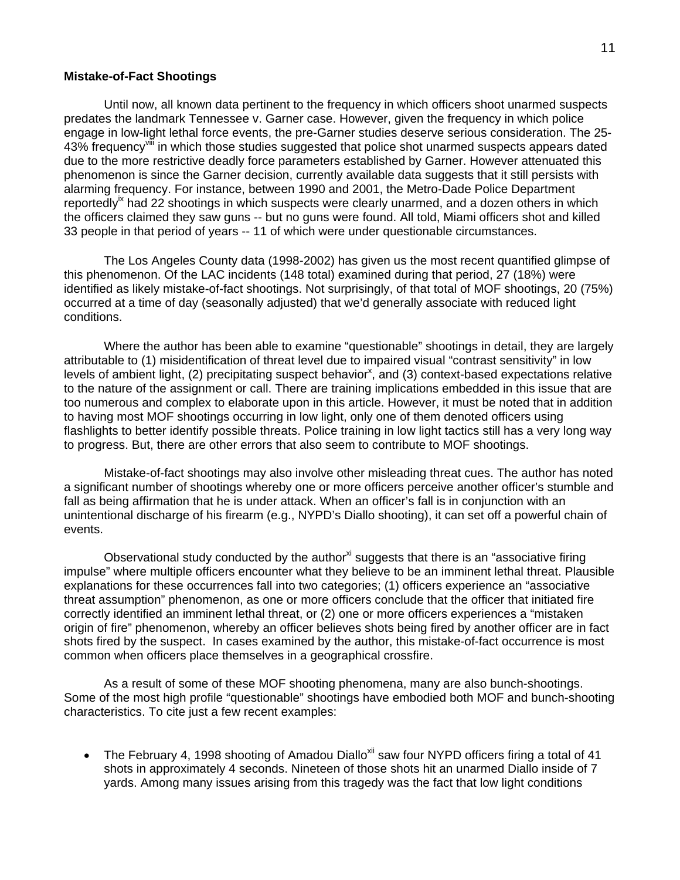#### **Mistake-of-Fact Shootings**

Until now, all known data pertinent to the frequency in which officers shoot unarmed suspects predates the landmark Tennessee v. Garner case. However, given the frequency in which police engage in low-light lethal force events, the pre-Garner studies deserve serious consideration. The 25- 43% frequency<sup>vili</sup> in which those studies suggested that police shot unarmed suspects appears dated due to the more restrictive deadly force parameters established by Garner. However attenuated this phenomenon is since the Garner decision, currently available data suggests that it still persists with alarming frequency. For instance, between 1990 and 2001, the Metro-Dade Police Department reportedly<sup> $k$ </sup> had 22 shootings in which suspects were clearly unarmed, and a dozen others in which the officers claimed they saw guns -- but no guns were found. All told, Miami officers shot and killed 33 people in that period of years -- 11 of which were under questionable circumstances.

The Los Angeles County data (1998-2002) has given us the most recent quantified glimpse of this phenomenon. Of the LAC incidents (148 total) examined during that period, 27 (18%) were identified as likely mistake-of-fact shootings. Not surprisingly, of that total of MOF shootings, 20 (75%) occurred at a time of day (seasonally adjusted) that we'd generally associate with reduced light conditions.

Where the author has been able to examine "questionable" shootings in detail, they are largely attributable to (1) misidentification of threat level due to impaired visual "contrast sensitivity" in low levels of ambient light, (2) precipitating suspect behavior<sup>[x](#page-17-9)</sup>, and (3) context-based expectations relative to the nature of the assignment or call. There are training implications embedded in this issue that are too numerous and complex to elaborate upon in this article. However, it must be noted that in addition to having most MOF shootings occurring in low light, only one of them denoted officers using flashlights to better identify possible threats. Police training in low light tactics still has a very long way to progress. But, there are other errors that also seem to contribute to MOF shootings.

Mistake-of-fact shootings may also involve other misleading threat cues. The author has noted a significant number of shootings whereby one or more officers perceive another officer's stumble and fall as being affirmation that he is under attack. When an officer's fall is in conjunction with an unintentional discharge of his firearm (e.g., NYPD's Diallo shooting), it can set off a powerful chain of events.

Observational study conducted by the author<sup>xi</sup> suggests that there is an "associative firing impulse" where multiple officers encounter what they believe to be an imminent lethal threat. Plausible explanations for these occurrences fall into two categories; (1) officers experience an "associative threat assumption" phenomenon, as one or more officers conclude that the officer that initiated fire correctly identified an imminent lethal threat, or (2) one or more officers experiences a "mistaken origin of fire" phenomenon, whereby an officer believes shots being fired by another officer are in fact shots fired by the suspect. In cases examined by the author, this mistake-of-fact occurrence is most common when officers place themselves in a geographical crossfire.

 As a result of some of these MOF shooting phenomena, many are also bunch-shootings. Some of the most high profile "questionable" shootings have embodied both MOF and bunch-shooting characteristics. To cite just a few recent examples:

• The February 4, 1998 shooting of Amadou Diallo<sup>xii</sup> saw four NYPD officers firing a total of 41 shots in approximately 4 seconds. Nineteen of those shots hit an unarmed Diallo inside of 7 yards. Among many issues arising from this tragedy was the fact that low light conditions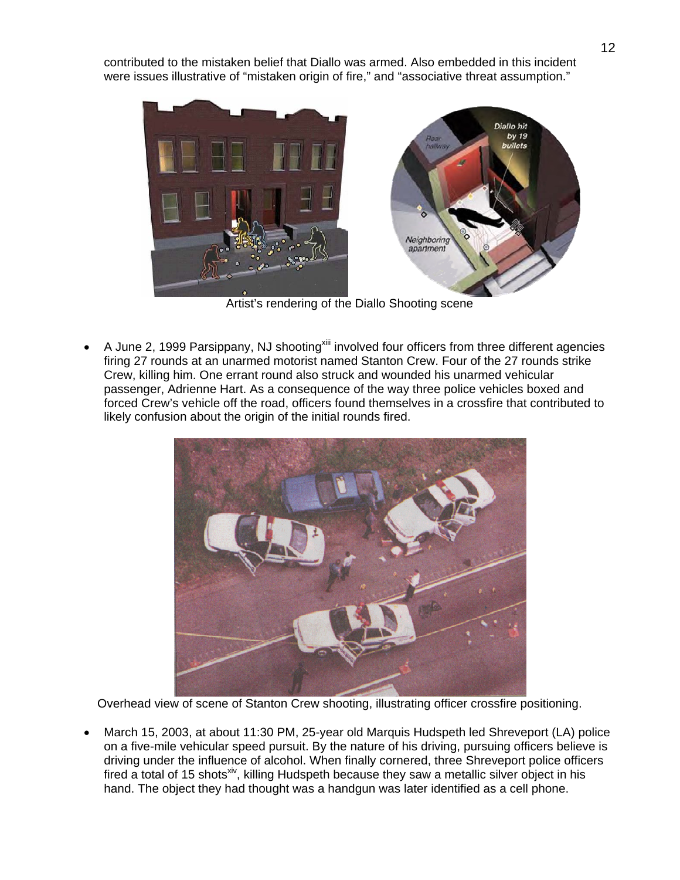contributed to the mistaken belief that Diallo was armed. Also embedded in this incident were issues illustrative of "mistaken origin of fire," and "associative threat assumption."



Artist's rendering of the Diallo Shooting scene

• A June 2, 1999 Parsippany, NJ shooting<sup>xiii</sup> involved four officers from three different agencies firing 27 rounds at an unarmed motorist named Stanton Crew. Four of the 27 rounds strike Crew, killing him. One errant round also struck and wounded his unarmed vehicular passenger, Adrienne Hart. As a consequence of the way three police vehicles boxed and forced Crew's vehicle off the road, officers found themselves in a crossfire that contributed to likely confusion about the origin of the initial rounds fired.



Overhead view of scene of Stanton Crew shooting, illustrating officer crossfire positioning.

• March 15, 2003, at about 11:30 PM, 25-year old Marquis Hudspeth led Shreveport (LA) police on a five-mile vehicular speed pursuit. By the nature of his driving, pursuing officers believe is driving under the influence of alcohol. When finally cornered, three Shreveport police officers fired a total of 15 shots<sup>[xiv](#page-17-13)</sup>, killing Hudspeth because they saw a metallic silver object in his hand. The object they had thought was a handgun was later identified as a cell phone.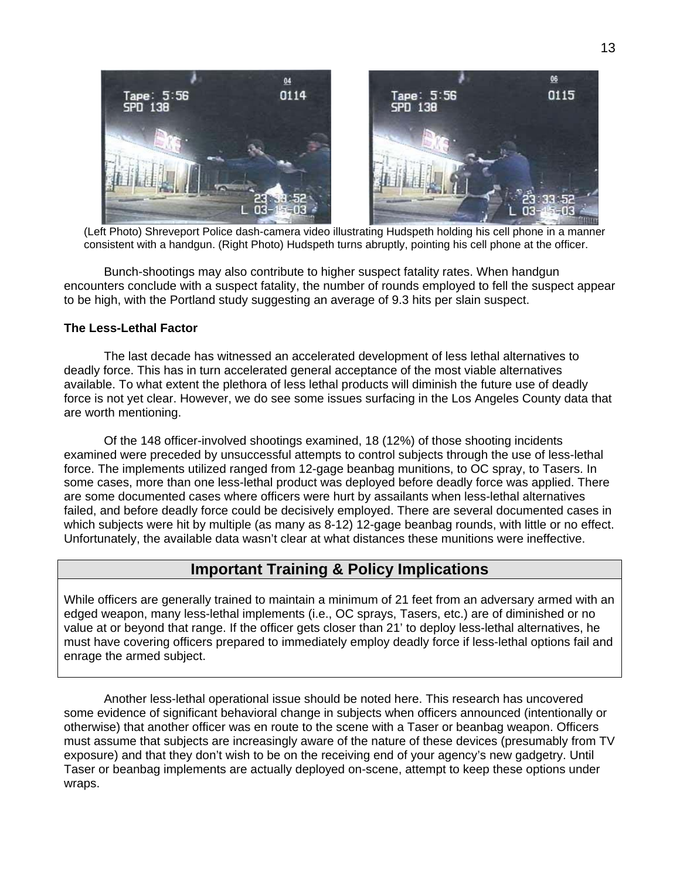

 (Left Photo) Shreveport Police dash-camera video illustrating Hudspeth holding his cell phone in a manner consistent with a handgun. (Right Photo) Hudspeth turns abruptly, pointing his cell phone at the officer.

Bunch-shootings may also contribute to higher suspect fatality rates. When handgun encounters conclude with a suspect fatality, the number of rounds employed to fell the suspect appear to be high, with the Portland study suggesting an average of 9.3 hits per slain suspect.

# **The Less-Lethal Factor**

The last decade has witnessed an accelerated development of less lethal alternatives to deadly force. This has in turn accelerated general acceptance of the most viable alternatives available. To what extent the plethora of less lethal products will diminish the future use of deadly force is not yet clear. However, we do see some issues surfacing in the Los Angeles County data that are worth mentioning.

Of the 148 officer-involved shootings examined, 18 (12%) of those shooting incidents examined were preceded by unsuccessful attempts to control subjects through the use of less-lethal force. The implements utilized ranged from 12-gage beanbag munitions, to OC spray, to Tasers. In some cases, more than one less-lethal product was deployed before deadly force was applied. There are some documented cases where officers were hurt by assailants when less-lethal alternatives failed, and before deadly force could be decisively employed. There are several documented cases in which subjects were hit by multiple (as many as 8-12) 12-gage beanbag rounds, with little or no effect. Unfortunately, the available data wasn't clear at what distances these munitions were ineffective.

# **Important Training & Policy Implications**

While officers are generally trained to maintain a minimum of 21 feet from an adversary armed with an edged weapon, many less-lethal implements (i.e., OC sprays, Tasers, etc.) are of diminished or no value at or beyond that range. If the officer gets closer than 21' to deploy less-lethal alternatives, he must have covering officers prepared to immediately employ deadly force if less-lethal options fail and enrage the armed subject.

Another less-lethal operational issue should be noted here. This research has uncovered some evidence of significant behavioral change in subjects when officers announced (intentionally or otherwise) that another officer was en route to the scene with a Taser or beanbag weapon. Officers must assume that subjects are increasingly aware of the nature of these devices (presumably from TV exposure) and that they don't wish to be on the receiving end of your agency's new gadgetry. Until Taser or beanbag implements are actually deployed on-scene, attempt to keep these options under wraps.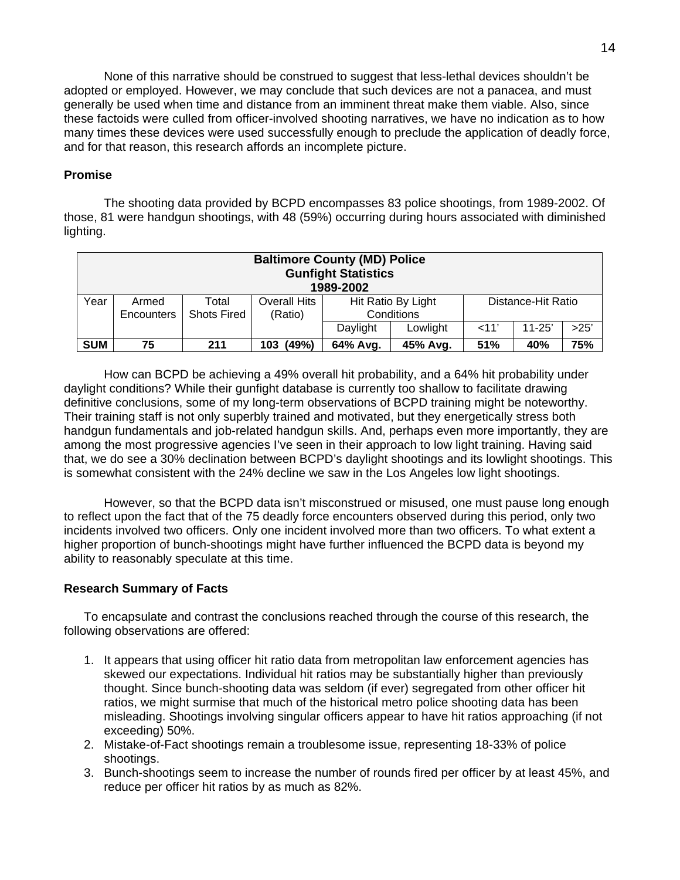None of this narrative should be construed to suggest that less-lethal devices shouldn't be adopted or employed. However, we may conclude that such devices are not a panacea, and must generally be used when time and distance from an imminent threat make them viable. Also, since these factoids were culled from officer-involved shooting narratives, we have no indication as to how many times these devices were used successfully enough to preclude the application of deadly force, and for that reason, this research affords an incomplete picture.

# **Promise**

The shooting data provided by BCPD encompasses 83 police shootings, from 1989-2002. Of those, 81 were handgun shootings, with 48 (59%) occurring during hours associated with diminished lighting.

| <b>Baltimore County (MD) Police</b><br><b>Gunfight Statistics</b><br>1989-2002 |                   |                    |              |                                          |          |     |            |      |  |  |
|--------------------------------------------------------------------------------|-------------------|--------------------|--------------|------------------------------------------|----------|-----|------------|------|--|--|
| Year                                                                           | Armed             | Total              | Overall Hits | Hit Ratio By Light<br>Distance-Hit Ratio |          |     |            |      |  |  |
|                                                                                | <b>Encounters</b> | <b>Shots Fired</b> | (Ratio)      | Conditions                               |          |     |            |      |  |  |
|                                                                                |                   |                    |              | Daylight                                 | Lowlight | 11' | $11 - 25'$ | >25' |  |  |
| <b>SUM</b>                                                                     | 75                | 211                | (49%)<br>103 | 64% Avg.                                 | 45% Avg. | 51% | 40%        | 75%  |  |  |

How can BCPD be achieving a 49% overall hit probability, and a 64% hit probability under daylight conditions? While their gunfight database is currently too shallow to facilitate drawing definitive conclusions, some of my long-term observations of BCPD training might be noteworthy. Their training staff is not only superbly trained and motivated, but they energetically stress both handgun fundamentals and job-related handgun skills. And, perhaps even more importantly, they are among the most progressive agencies I've seen in their approach to low light training. Having said that, we do see a 30% declination between BCPD's daylight shootings and its lowlight shootings. This is somewhat consistent with the 24% decline we saw in the Los Angeles low light shootings.

However, so that the BCPD data isn't misconstrued or misused, one must pause long enough to reflect upon the fact that of the 75 deadly force encounters observed during this period, only two incidents involved two officers. Only one incident involved more than two officers. To what extent a higher proportion of bunch-shootings might have further influenced the BCPD data is beyond my ability to reasonably speculate at this time.

# **Research Summary of Facts**

To encapsulate and contrast the conclusions reached through the course of this research, the following observations are offered:

- 1. It appears that using officer hit ratio data from metropolitan law enforcement agencies has skewed our expectations. Individual hit ratios may be substantially higher than previously thought. Since bunch-shooting data was seldom (if ever) segregated from other officer hit ratios, we might surmise that much of the historical metro police shooting data has been misleading. Shootings involving singular officers appear to have hit ratios approaching (if not exceeding) 50%.
- 2. Mistake-of-Fact shootings remain a troublesome issue, representing 18-33% of police shootings.
- 3. Bunch-shootings seem to increase the number of rounds fired per officer by at least 45%, and reduce per officer hit ratios by as much as 82%.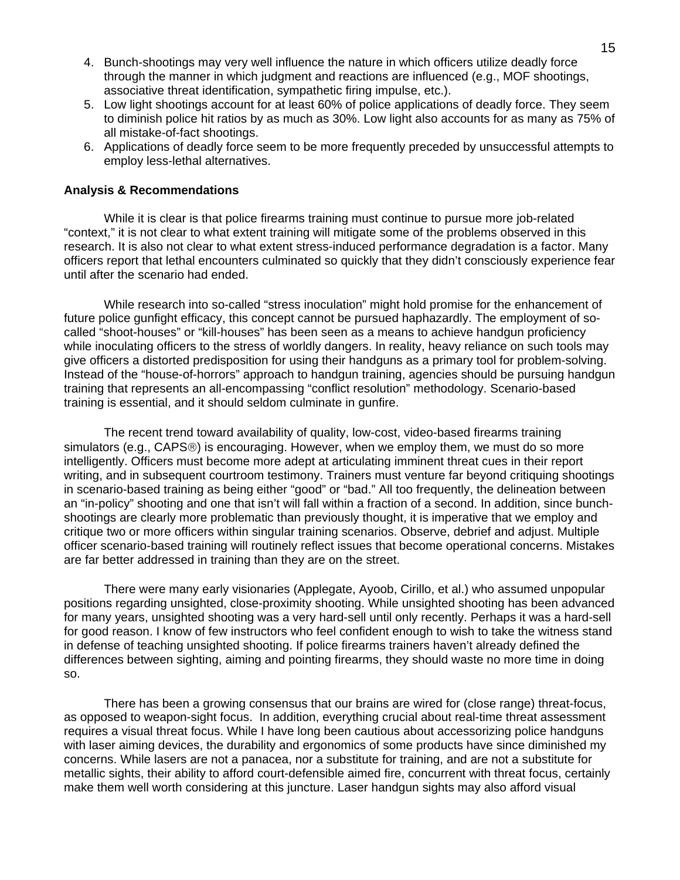- 4. Bunch-shootings may very well influence the nature in which officers utilize deadly force through the manner in which judgment and reactions are influenced (e.g., MOF shootings, associative threat identification, sympathetic firing impulse, etc.).
- 5. Low light shootings account for at least 60% of police applications of deadly force. They seem to diminish police hit ratios by as much as 30%. Low light also accounts for as many as 75% of all mistake-of-fact shootings.
- 6. Applications of deadly force seem to be more frequently preceded by unsuccessful attempts to employ less-lethal alternatives.

#### **Analysis & Recommendations**

While it is clear is that police firearms training must continue to pursue more job-related "context," it is not clear to what extent training will mitigate some of the problems observed in this research. It is also not clear to what extent stress-induced performance degradation is a factor. Many officers report that lethal encounters culminated so quickly that they didn't consciously experience fear until after the scenario had ended.

While research into so-called "stress inoculation" might hold promise for the enhancement of future police gunfight efficacy, this concept cannot be pursued haphazardly. The employment of socalled "shoot-houses" or "kill-houses" has been seen as a means to achieve handgun proficiency while inoculating officers to the stress of worldly dangers. In reality, heavy reliance on such tools may give officers a distorted predisposition for using their handguns as a primary tool for problem-solving. Instead of the "house-of-horrors" approach to handgun training, agencies should be pursuing handgun training that represents an all-encompassing "conflict resolution" methodology. Scenario-based training is essential, and it should seldom culminate in gunfire.

The recent trend toward availability of quality, low-cost, video-based firearms training simulators (e.g., CAPS®) is encouraging. However, when we employ them, we must do so more intelligently. Officers must become more adept at articulating imminent threat cues in their report writing, and in subsequent courtroom testimony. Trainers must venture far beyond critiquing shootings in scenario-based training as being either "good" or "bad." All too frequently, the delineation between an "in-policy" shooting and one that isn't will fall within a fraction of a second. In addition, since bunchshootings are clearly more problematic than previously thought, it is imperative that we employ and critique two or more officers within singular training scenarios. Observe, debrief and adjust. Multiple officer scenario-based training will routinely reflect issues that become operational concerns. Mistakes are far better addressed in training than they are on the street.

There were many early visionaries (Applegate, Ayoob, Cirillo, et al.) who assumed unpopular positions regarding unsighted, close-proximity shooting. While unsighted shooting has been advanced for many years, unsighted shooting was a very hard-sell until only recently. Perhaps it was a hard-sell for good reason. I know of few instructors who feel confident enough to wish to take the witness stand in defense of teaching unsighted shooting. If police firearms trainers haven't already defined the differences between sighting, aiming and pointing firearms, they should waste no more time in doing so.

There has been a growing consensus that our brains are wired for (close range) threat-focus, as opposed to weapon-sight focus. In addition, everything crucial about real-time threat assessment requires a visual threat focus. While I have long been cautious about accessorizing police handguns with laser aiming devices, the durability and ergonomics of some products have since diminished my concerns. While lasers are not a panacea, nor a substitute for training, and are not a substitute for metallic sights, their ability to afford court-defensible aimed fire, concurrent with threat focus, certainly make them well worth considering at this juncture. Laser handgun sights may also afford visual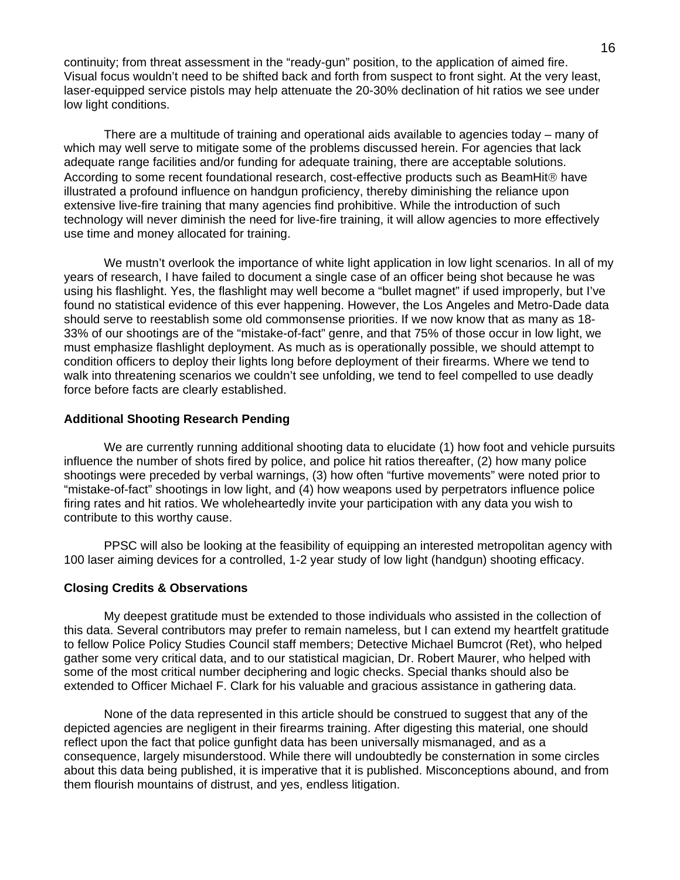continuity; from threat assessment in the "ready-gun" position, to the application of aimed fire. Visual focus wouldn't need to be shifted back and forth from suspect to front sight. At the very least, laser-equipped service pistols may help attenuate the 20-30% declination of hit ratios we see under low light conditions.

There are a multitude of training and operational aids available to agencies today – many of which may well serve to mitigate some of the problems discussed herein. For agencies that lack adequate range facilities and/or funding for adequate training, there are acceptable solutions. According to some recent foundational research, cost-effective products such as BeamHit® have illustrated a profound influence on handgun proficiency, thereby diminishing the reliance upon extensive live-fire training that many agencies find prohibitive. While the introduction of such technology will never diminish the need for live-fire training, it will allow agencies to more effectively use time and money allocated for training.

We mustn't overlook the importance of white light application in low light scenarios. In all of my years of research, I have failed to document a single case of an officer being shot because he was using his flashlight. Yes, the flashlight may well become a "bullet magnet" if used improperly, but I've found no statistical evidence of this ever happening. However, the Los Angeles and Metro-Dade data should serve to reestablish some old commonsense priorities. If we now know that as many as 18- 33% of our shootings are of the "mistake-of-fact" genre, and that 75% of those occur in low light, we must emphasize flashlight deployment. As much as is operationally possible, we should attempt to condition officers to deploy their lights long before deployment of their firearms. Where we tend to walk into threatening scenarios we couldn't see unfolding, we tend to feel compelled to use deadly force before facts are clearly established.

# **Additional Shooting Research Pending**

We are currently running additional shooting data to elucidate (1) how foot and vehicle pursuits influence the number of shots fired by police, and police hit ratios thereafter, (2) how many police shootings were preceded by verbal warnings, (3) how often "furtive movements" were noted prior to "mistake-of-fact" shootings in low light, and (4) how weapons used by perpetrators influence police firing rates and hit ratios. We wholeheartedly invite your participation with any data you wish to contribute to this worthy cause.

PPSC will also be looking at the feasibility of equipping an interested metropolitan agency with 100 laser aiming devices for a controlled, 1-2 year study of low light (handgun) shooting efficacy.

#### **Closing Credits & Observations**

My deepest gratitude must be extended to those individuals who assisted in the collection of this data. Several contributors may prefer to remain nameless, but I can extend my heartfelt gratitude to fellow Police Policy Studies Council staff members; Detective Michael Bumcrot (Ret), who helped gather some very critical data, and to our statistical magician, Dr. Robert Maurer, who helped with some of the most critical number deciphering and logic checks. Special thanks should also be extended to Officer Michael F. Clark for his valuable and gracious assistance in gathering data.

None of the data represented in this article should be construed to suggest that any of the depicted agencies are negligent in their firearms training. After digesting this material, one should reflect upon the fact that police gunfight data has been universally mismanaged, and as a consequence, largely misunderstood. While there will undoubtedly be consternation in some circles about this data being published, it is imperative that it is published. Misconceptions abound, and from them flourish mountains of distrust, and yes, endless litigation.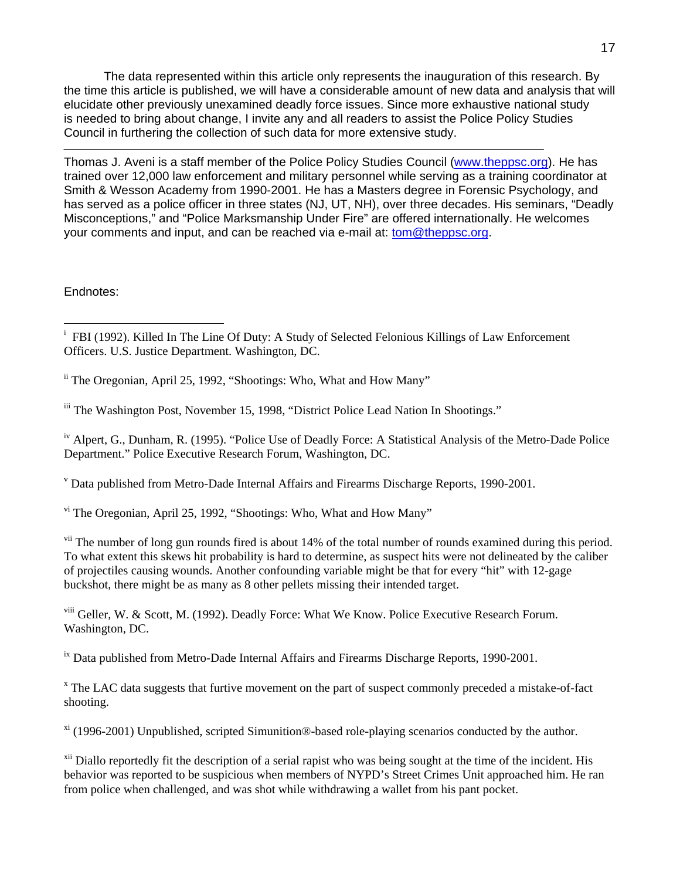The data represented within this article only represents the inauguration of this research. By the time this article is published, we will have a considerable amount of new data and analysis that will elucidate other previously unexamined deadly force issues. Since more exhaustive national study is needed to bring about change, I invite any and all readers to assist the Police Policy Studies Council in furthering the collection of such data for more extensive study.

Thomas J. Aveni is a staff member of the Police Policy Studies Council [\(www.theppsc.org\)](http://www.theppsc.org/). He has trained over 12,000 law enforcement and military personnel while serving as a training coordinator at Smith & Wesson Academy from 1990-2001. He has a Masters degree in Forensic Psychology, and has served as a police officer in three states (NJ, UT, NH), over three decades. His seminars, "Deadly Misconceptions," and "Police Marksmanship Under Fire" are offered internationally. He welcomes your comments and input, and can be reached via e-mail at: [tom@theppsc.org.](mailto:tom@theppsc.org)

Endnotes:

<u>.</u>

ii The Oregonian, April 25, 1992, "Shootings: Who, What and How Many"

iii The Washington Post, November 15, 1998, "District Police Lead Nation In Shootings."

iv Alpert, G., Dunham, R. (1995). "Police Use of Deadly Force: A Statistical Analysis of the Metro-Dade Police Department." Police Executive Research Forum, Washington, DC.

v Data published from Metro-Dade Internal Affairs and Firearms Discharge Reports, 1990-2001.

vi The Oregonian, April 25, 1992, "Shootings: Who, What and How Many"

<sup>vii</sup> The number of long gun rounds fired is about 14% of the total number of rounds examined during this period. To what extent this skews hit probability is hard to determine, as suspect hits were not delineated by the caliber of projectiles causing wounds. Another confounding variable might be that for every "hit" with 12-gage buckshot, there might be as many as 8 other pellets missing their intended target.

viii Geller, W. & Scott, M. (1992). Deadly Force: What We Know. Police Executive Research Forum. Washington, DC.

<sup>ix</sup> Data published from Metro-Dade Internal Affairs and Firearms Discharge Reports, 1990-2001.

<sup>x</sup> The LAC data suggests that furtive movement on the part of suspect commonly preceded a mistake-of-fact shooting.

xi (1996-2001) Unpublished, scripted Simunition®-based role-playing scenarios conducted by the author.

<sup>xii</sup> Diallo reportedly fit the description of a serial rapist who was being sought at the time of the incident. His behavior was reported to be suspicious when members of NYPD's Street Crimes Unit approached him. He ran from police when challenged, and was shot while withdrawing a wallet from his pant pocket.

<sup>&</sup>lt;sup>i</sup> FBI (1992). Killed In The Line Of Duty: A Study of Selected Felonious Killings of Law Enforcement Officers. U.S. Justice Department. Washington, DC.